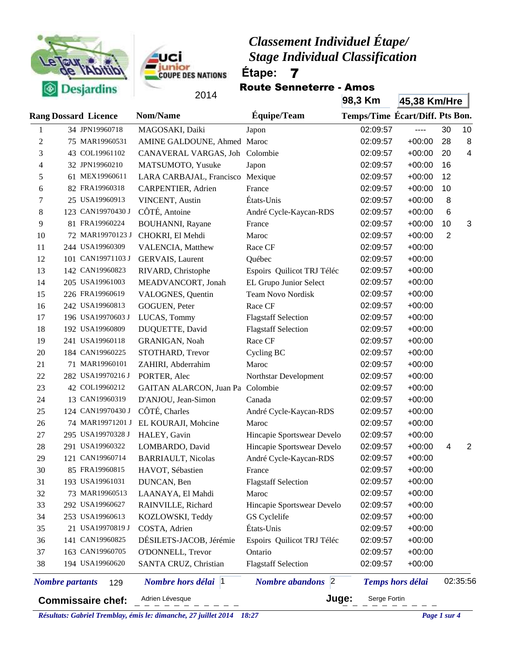



Route Senneterre - Amos

|                | $\sim$                        | 2014                             |                                     | 98,3 Km                         | 45,38 Km/Hre            |                          |                |
|----------------|-------------------------------|----------------------------------|-------------------------------------|---------------------------------|-------------------------|--------------------------|----------------|
|                | <b>Rang Dossard Licence</b>   | <b>Nom/Name</b>                  | Équipe/Team                         | Temps/Time Écart/Diff. Pts Bon. |                         |                          |                |
| 1              | 34 JPN19960718                | MAGOSAKI, Daiki                  | Japon                               | 02:09:57                        | $-----$                 | 30                       | 10             |
| $\overline{c}$ | 75 MAR19960531                | AMINE GALDOUNE, Ahmed Maroc      |                                     | 02:09:57                        | $+00:00$                | 28                       | 8              |
| 3              | 43 COL19961102                | CANAVERAL VARGAS, Joh Colombie   |                                     | 02:09:57                        | $+00:00$                | 20                       | $\overline{4}$ |
| $\overline{4}$ | 32 JPN19960210                | MATSUMOTO, Yusuke                | Japon                               | 02:09:57                        | $+00:00$                | 16                       |                |
| 5              | 61 MEX19960611                | LARA CARBAJAL, Francisco Mexique |                                     | 02:09:57                        | $+00:00$                | 12                       |                |
| 6              | 82 FRA19960318                | CARPENTIER, Adrien               | France                              | 02:09:57                        | $+00:00$                | 10                       |                |
| 7              | 25 USA19960913                | VINCENT, Austin                  | États-Unis                          | 02:09:57                        | $+00:00$                | 8                        |                |
| $8\,$          | 123 CAN19970430 J             | CÔTÉ, Antoine                    | André Cycle-Kaycan-RDS              | 02:09:57                        | $+00:00$                | 6                        |                |
| 9              | 81 FRA19960224                | <b>BOUHANNI</b> , Rayane         | France                              | 02:09:57                        | $+00:00$                | 10                       | 3              |
| 10             | 72 MAR19970123 J              | CHOKRI, El Mehdi                 | Maroc                               | 02:09:57                        | $+00:00$                | $\overline{2}$           |                |
| 11             | 244 USA19960309               | VALENCIA, Matthew                | Race CF                             | 02:09:57                        | $+00:00$                |                          |                |
| 12             | 101 CAN19971103 J             | GERVAIS, Laurent                 | Québec                              | 02:09:57                        | $+00:00$                |                          |                |
| 13             | 142 CAN19960823               | RIVARD, Christophe               | Espoirs Quilicot TRJ Téléc          | 02:09:57                        | $+00:00$                |                          |                |
| 14             | 205 USA19961003               | MEADVANCORT, Jonah               | EL Grupo Junior Select              | 02:09:57                        | $+00:00$                |                          |                |
| 15             | 226 FRA19960619               | VALOGNES, Quentin                | Team Novo Nordisk                   | 02:09:57                        | $+00:00$                |                          |                |
| 16             | 242 USA19960813               | GOGUEN, Peter                    | Race CF                             | 02:09:57                        | $+00:00$                |                          |                |
| 17             | 196 USA19970603 J             | LUCAS, Tommy                     | <b>Flagstaff Selection</b>          | 02:09:57                        | $+00:00$                |                          |                |
| 18             | 192 USA19960809               | DUQUETTE, David                  | <b>Flagstaff Selection</b>          | 02:09:57                        | $+00:00$                |                          |                |
| 19             | 241 USA19960118               | GRANIGAN, Noah                   | Race CF                             | 02:09:57                        | $+00:00$                |                          |                |
| 20             | 184 CAN19960225               | STOTHARD, Trevor                 | Cycling BC                          | 02:09:57                        | $+00:00$                |                          |                |
| 21             | 71 MAR19960101                | ZAHIRI, Abderrahim               | Maroc                               | 02:09:57                        | $+00:00$                |                          |                |
| 22             | 282 USA19970216 J             | PORTER, Alec                     | Northstar Development               | 02:09:57                        | $+00:00$                |                          |                |
| 23             | 42 COL19960212                | GAITAN ALARCON, Juan Pa Colombie |                                     | 02:09:57                        | $+00:00$                |                          |                |
| 24             | 13 CAN19960319                | D'ANJOU, Jean-Simon              | Canada                              | 02:09:57                        | $+00:00$                |                          |                |
| 25             | 124 CAN19970430 J             | CÔTÉ, Charles                    | André Cycle-Kaycan-RDS              | 02:09:57                        | $+00:00$                |                          |                |
| 26             | 74 MAR19971201 J              | EL KOURAJI, Mohcine              | Maroc                               | 02:09:57                        | $+00:00$                |                          |                |
| 27             | 295 USA19970328 J             | HALEY, Gavin                     | Hincapie Sportswear Develo          | 02:09:57                        | $+00:00$                |                          |                |
| 28             | 291 USA19960322               | LOMBARDO, David                  | Hincapie Sportswear Develo          | 02:09:57                        | $+00:00$                | $\overline{\mathcal{A}}$ | 2              |
| 29             | 121 CAN19960714               | <b>BARRIAULT</b> , Nicolas       | André Cycle-Kaycan-RDS              | 02:09:57                        | $+00:00$                |                          |                |
| 30             | 85 FRA19960815                | HAVOT, Sébastien                 | France                              | 02:09:57                        | $+00:00$                |                          |                |
| 31             | 193 USA19961031               | DUNCAN, Ben                      | <b>Flagstaff Selection</b>          | 02:09:57                        | $+00:00$                |                          |                |
| 32             | 73 MAR19960513                | LAANAYA, El Mahdi                | Maroc                               | 02:09:57                        | $+00:00$                |                          |                |
| 33             | 292 USA19960627               | RAINVILLE, Richard               | Hincapie Sportswear Develo          | 02:09:57                        | $+00:00$                |                          |                |
| 34             | 253 USA19960613               | KOZLOWSKI, Teddy                 | GS Cyclelife                        | 02:09:57                        | $+00:00$                |                          |                |
| 35             | 21 USA19970819 J              | COSTA, Adrien                    | États-Unis                          | 02:09:57                        | $+00:00$                |                          |                |
| 36             | 141 CAN19960825               | DÉSILETS-JACOB, Jérémie          | Espoirs Quilicot TRJ Téléc          | 02:09:57                        | $+00:00$                |                          |                |
| 37             | 163 CAN19960705               | O'DONNELL, Trevor                | Ontario                             | 02:09:57                        | $+00:00$                |                          |                |
| 38             | 194 USA19960620               | SANTA CRUZ, Christian            | <b>Flagstaff Selection</b>          | 02:09:57                        | $+00:00$                |                          |                |
|                | <b>Nombre</b> partants<br>129 | Nombre hors délai<br> 1          | $\vert$ 2<br><b>Nombre</b> abandons |                                 | <b>Temps hors délai</b> |                          | 02:35:56       |
|                | <b>Commissaire chef:</b>      | Adrien Lévesque                  |                                     | Juge:<br>Serge Fortin           |                         |                          |                |

ď.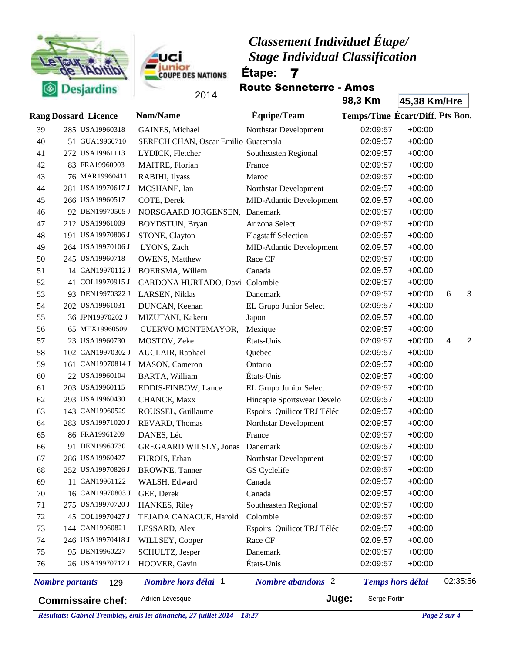



Route Senneterre - Amos

|    | $\sim$                      |                          | 2014                                |                                 | 98,3 Km                         | 45,38 Km/Hre            |          |                |
|----|-----------------------------|--------------------------|-------------------------------------|---------------------------------|---------------------------------|-------------------------|----------|----------------|
|    | <b>Rang Dossard Licence</b> |                          | <b>Nom/Name</b>                     | Équipe/Team                     | Temps/Time Écart/Diff. Pts Bon. |                         |          |                |
| 39 |                             | 285 USA19960318          | GAINES, Michael                     | Northstar Development           | 02:09:57                        | $+00:00$                |          |                |
| 40 |                             | 51 GUA19960710           | SERECH CHAN, Oscar Emilio Guatemala |                                 | 02:09:57                        | $+00:00$                |          |                |
| 41 |                             | 272 USA19961113          | LYDICK, Fletcher                    | Southeasten Regional            | 02:09:57                        | $+00:00$                |          |                |
| 42 |                             | 83 FRA19960903           | MAITRE, Florian                     | France                          | 02:09:57                        | $+00:00$                |          |                |
| 43 |                             | 76 MAR19960411           | RABIHI, Ilyass                      | Maroc                           | 02:09:57                        | $+00:00$                |          |                |
| 44 |                             | 281 USA19970617 J        | MCSHANE, Ian                        | Northstar Development           | 02:09:57                        | $+00:00$                |          |                |
| 45 |                             | 266 USA19960517          | COTE, Derek                         | <b>MID-Atlantic Development</b> | 02:09:57                        | $+00:00$                |          |                |
| 46 |                             | 92 DEN19970505 J         | NORSGAARD JORGENSEN,                | Danemark                        | 02:09:57                        | $+00:00$                |          |                |
| 47 |                             | 212 USA19961009          | BOYDSTUN, Bryan                     | Arizona Select                  | 02:09:57                        | $+00:00$                |          |                |
| 48 |                             | 191 USA19970806 J        | STONE, Clayton                      | <b>Flagstaff Selection</b>      | 02:09:57                        | $+00:00$                |          |                |
| 49 |                             | 264 USA19970106 J        | LYONS, Zach                         | <b>MID-Atlantic Development</b> | 02:09:57                        | $+00:00$                |          |                |
| 50 |                             | 245 USA19960718          | <b>OWENS</b> , Matthew              | Race CF                         | 02:09:57                        | $+00:00$                |          |                |
| 51 |                             | 14 CAN19970112 J         | BOERSMA, Willem                     | Canada                          | 02:09:57                        | $+00:00$                |          |                |
| 52 |                             | 41 COL19970915 J         | CARDONA HURTADO, Davi Colombie      |                                 | 02:09:57                        | $+00:00$                |          |                |
| 53 |                             | 93 DEN19970322 J         | LARSEN, Niklas                      | Danemark                        | 02:09:57                        | $+00:00$                | 6        | 3              |
| 54 |                             | 202 USA19961031          | DUNCAN, Keenan                      | EL Grupo Junior Select          | 02:09:57                        | $+00:00$                |          |                |
| 55 |                             | 36 JPN19970202 J         | MIZUTANI, Kakeru                    | Japon                           | 02:09:57                        | $+00:00$                |          |                |
| 56 |                             | 65 MEX19960509           | CUERVO MONTEMAYOR,                  | Mexique                         | 02:09:57                        | $+00:00$                |          |                |
| 57 |                             | 23 USA19960730           | MOSTOV, Zeke                        | États-Unis                      | 02:09:57                        | $+00:00$                | 4        | $\overline{2}$ |
| 58 |                             | 102 CAN19970302 J        | AUCLAIR, Raphael                    | Québec                          | 02:09:57                        | $+00:00$                |          |                |
| 59 |                             | 161 CAN19970814 J        | MASON, Cameron                      | Ontario                         | 02:09:57                        | $+00:00$                |          |                |
| 60 |                             | 22 USA19960104           | BARTA, William                      | États-Unis                      | 02:09:57                        | $+00:00$                |          |                |
| 61 |                             | 203 USA19960115          | EDDIS-FINBOW, Lance                 | EL Grupo Junior Select          | 02:09:57                        | $+00:00$                |          |                |
| 62 |                             | 293 USA19960430          | CHANCE, Maxx                        | Hincapie Sportswear Develo      | 02:09:57                        | $+00:00$                |          |                |
| 63 |                             | 143 CAN19960529          | ROUSSEL, Guillaume                  | Espoirs Quilicot TRJ Téléc      | 02:09:57                        | $+00:00$                |          |                |
| 64 |                             | 283 USA19971020 J        | REVARD, Thomas                      | Northstar Development           | 02:09:57                        | $+00:00$                |          |                |
| 65 |                             | 86 FRA19961209           | DANES, Léo                          | France                          | 02:09:57                        | $+00:00$                |          |                |
| 66 |                             | 91 DEN19960730           | <b>GREGAARD WILSLY, Jonas</b>       | Danemark                        | 02:09:57                        | $+00:00$                |          |                |
| 67 |                             | 286 USA19960427          | FUROIS, Ethan                       | Northstar Development           | 02:09:57                        | $+00:00$                |          |                |
| 68 |                             | 252 USA19970826 J        | <b>BROWNE</b> , Tanner              | GS Cyclelife                    | 02:09:57                        | $+00:00$                |          |                |
| 69 |                             | 11 CAN19961122           | WALSH, Edward                       | Canada                          | 02:09:57                        | $+00:00$                |          |                |
| 70 |                             | 16 CAN19970803 J         | GEE, Derek                          | Canada                          | 02:09:57                        | $+00:00$                |          |                |
| 71 |                             | 275 USA19970720 J        | HANKES, Riley                       | Southeasten Regional            | 02:09:57                        | $+00:00$                |          |                |
| 72 |                             | 45 COL19970427 J         | TEJADA CANACUE, Harold              | Colombie                        | 02:09:57                        | $+00:00$                |          |                |
| 73 |                             | 144 CAN19960821          | LESSARD, Alex                       | Espoirs Quilicot TRJ Téléc      | 02:09:57                        | $+00:00$                |          |                |
| 74 |                             | 246 USA19970418 J        | WILLSEY, Cooper                     | Race CF                         | 02:09:57                        | $+00:00$                |          |                |
| 75 |                             | 95 DEN19960227           | SCHULTZ, Jesper                     | Danemark                        | 02:09:57                        | $+00:00$                |          |                |
| 76 |                             | 26 USA19970712 J         | HOOVER, Gavin                       | États-Unis                      | 02:09:57                        | $+00:00$                |          |                |
|    | <b>Nombre</b> partants      | 129                      | Nombre hors délai<br> 1             | 2 <br><b>Nombre</b> abandons    |                                 | <b>Temps hors délai</b> | 02:35:56 |                |
|    |                             | <b>Commissaire chef:</b> | Adrien Lévesque                     | Juge:                           | Serge Fortin                    |                         |          |                |

*Résultats: Gabriel Tremblay, émis le: dimanche, 27 juillet 2014 18:27 Page 2 sur 4*

á,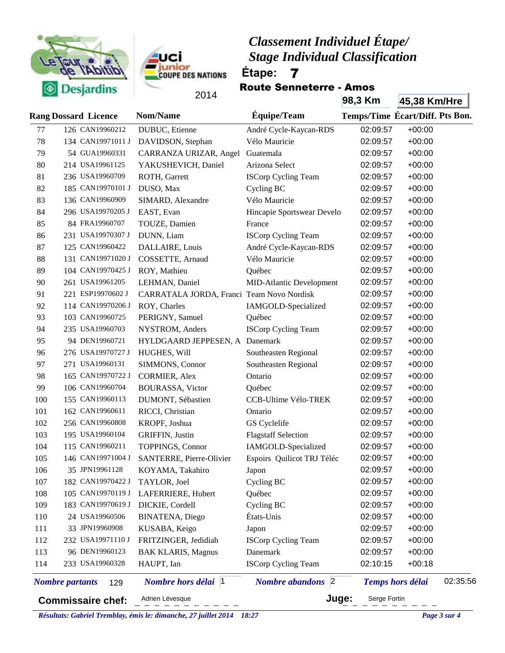



Route Senneterre - Amos

|     | $\sim$                        | 2014                                      |                                                | 98,3 Km      | 45,38 Km/Hre                        |
|-----|-------------------------------|-------------------------------------------|------------------------------------------------|--------------|-------------------------------------|
|     | <b>Rang Dossard Licence</b>   | Nom/Name                                  | Équipe/Team                                    |              | Temps/Time Écart/Diff. Pts Bon.     |
| 77  | 126 CAN19960212               | DUBUC, Etienne                            | André Cycle-Kaycan-RDS                         | 02:09:57     | $+00:00$                            |
| 78  | 134 CAN19971011 J             | DAVIDSON, Stephan                         | Vélo Mauricie                                  | 02:09:57     | $+00:00$                            |
| 79  | 54 GUA19960331                | CARRANZA URIZAR, Angel                    | Guatemala                                      | 02:09:57     | $+00:00$                            |
| 80  | 214 USA19961125               | YAKUSHEVICH, Daniel                       | Arizona Select                                 | 02:09:57     | $+00:00$                            |
| 81  | 236 USA19960709               | ROTH, Garrett                             | <b>ISCorp Cycling Team</b>                     | 02:09:57     | $+00:00$                            |
| 82  | 185 CAN19970101 J             | DUSO, Max                                 | Cycling BC                                     | 02:09:57     | $+00:00$                            |
| 83  | 136 CAN19960909               | SIMARD, Alexandre                         | Vélo Mauricie                                  | 02:09:57     | $+00:00$                            |
| 84  | 296 USA19970205 J             | EAST, Evan                                | Hincapie Sportswear Develo                     | 02:09:57     | $+00:00$                            |
| 85  | 84 FRA19960707                | TOUZE, Damien                             | France                                         | 02:09:57     | $+00:00$                            |
| 86  | 231 USA19970307 J             | DUNN, Liam                                | <b>ISCorp Cycling Team</b>                     | 02:09:57     | $+00:00$                            |
| 87  | 125 CAN19960422               | DALLAIRE, Louis                           | André Cycle-Kaycan-RDS                         | 02:09:57     | $+00:00$                            |
| 88  | 131 CAN19971020 J             | COSSETTE, Arnaud                          | Vélo Mauricie                                  | 02:09:57     | $+00:00$                            |
| 89  | 104 CAN19970425 J             | ROY, Mathieu                              | Québec                                         | 02:09:57     | $+00:00$                            |
| 90  | 261 USA19961205               | LEHMAN, Daniel                            | <b>MID-Atlantic Development</b>                | 02:09:57     | $+00:00$                            |
| 91  | 221 ESP19970602 J             | CARRATALA JORDA, Franci Team Novo Nordisk |                                                | 02:09:57     | $+00:00$                            |
| 92  | 114 CAN19970206 J             | ROY, Charles                              | IAMGOLD-Specialized                            | 02:09:57     | $+00:00$                            |
| 93  | 103 CAN19960725               | PERIGNY, Samuel                           | Québec                                         | 02:09:57     | $+00:00$                            |
| 94  | 235 USA19960703               | NYSTROM, Anders                           | <b>ISCorp Cycling Team</b>                     | 02:09:57     | $+00:00$                            |
| 95  | 94 DEN19960721                | HYLDGAARD JEPPESEN, A Danemark            |                                                | 02:09:57     | $+00:00$                            |
| 96  | 276 USA19970727 J             | HUGHES, Will                              | Southeasten Regional                           | 02:09:57     | $+00:00$                            |
| 97  | 271 USA19960131               | SIMMONS, Connor                           | Southeasten Regional                           | 02:09:57     | $+00:00$                            |
| 98  | 165 CAN19970722 J             | <b>CORMIER, Alex</b>                      | Ontario                                        | 02:09:57     | $+00:00$                            |
| 99  | 106 CAN19960704               | <b>BOURASSA, Victor</b>                   | Québec                                         | 02:09:57     | $+00:00$                            |
| 100 | 155 CAN19960113               | DUMONT, Sébastien                         | CCB-Ultime Vélo-TREK                           | 02:09:57     | $+00:00$                            |
| 101 | 162 CAN19960611               | RICCI, Christian                          | Ontario                                        | 02:09:57     | $+00:00$                            |
| 102 | 256 CAN19960808               | KROPF, Joshua                             | GS Cyclelife                                   | 02:09:57     | $+00:00$                            |
| 103 | 195 USA19960104               | <b>GRIFFIN, Justin</b>                    | <b>Flagstaff Selection</b>                     | 02:09:57     | $+00:00$                            |
| 104 | 115 CAN19960211               | TOPPINGS, Connor                          | IAMGOLD-Specialized                            | 02:09:57     | $+00:00$                            |
| 105 | 146 CAN19971004 J             | SANTERRE, Pierre-Olivier                  | Espoirs Quilicot TRJ Téléc                     | 02:09:57     | $+00:00$                            |
| 106 | 35 JPN19961128                | KOYAMA, Takahiro                          | Japon                                          | 02:09:57     | $+00:00$                            |
| 107 | 182 CAN19970422 J             | TAYLOR, Joel                              | Cycling BC                                     | 02:09:57     | $+00:00$                            |
| 108 | 105 CAN19970119 J             | LAFERRIERE, Hubert                        | Québec                                         | 02:09:57     | $+00:00$                            |
| 109 | 183 CAN19970619 J             | DICKIE, Cordell                           | Cycling BC                                     | 02:09:57     | $+00:00$                            |
| 110 | 24 USA19960506                | <b>BINATENA, Diego</b>                    | États-Unis                                     | 02:09:57     | $+00:00$                            |
| 111 | 33 JPN19960908                | KUSABA, Keigo                             | Japon                                          | 02:09:57     | $+00:00$                            |
| 112 | 232 USA19971110 J             | FRITZINGER, Jedidiah                      | <b>ISCorp Cycling Team</b>                     | 02:09:57     | $+00:00$                            |
| 113 | 96 DEN19960123                | <b>BAK KLARIS, Magnus</b>                 | Danemark                                       | 02:09:57     | $+00:00$                            |
| 114 | 233 USA19960328               | HAUPT, Ian                                | <b>ISCorp Cycling Team</b>                     | 02:10:15     | $+00:18$                            |
|     | <b>Nombre</b> partants<br>129 | <i>Nombre hors délai</i>  1               | $\vert$ <sub>2</sub><br><b>Nombre</b> abandons |              | 02:35:56<br><b>Temps hors délai</b> |
|     | <b>Commissaire chef:</b>      | Adrien Lévesque                           | Juge:                                          | Serge Fortin |                                     |

*Résultats: Gabriel Tremblay, émis le: dimanche, 27 juillet 2014 18:27 Page 3 sur 4*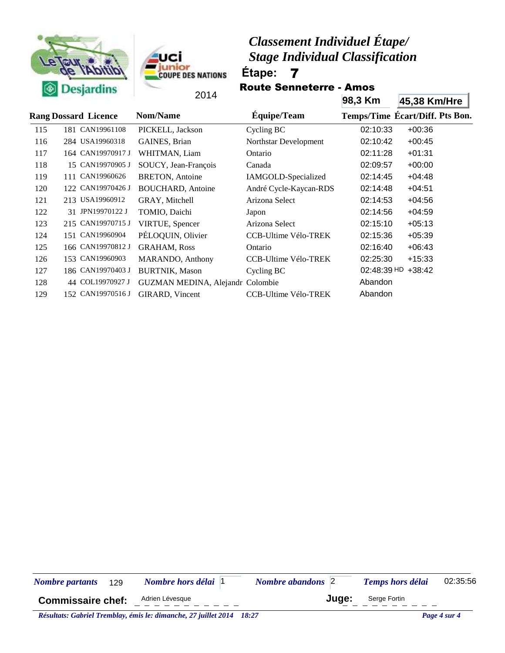



Route Senneterre - Amos

|     | Desjarums                   |                                  |                             |               |                                 |
|-----|-----------------------------|----------------------------------|-----------------------------|---------------|---------------------------------|
|     |                             | 2014                             |                             | 98,3 Km       | 45,38 Km/Hre                    |
|     | <b>Rang Dossard Licence</b> | Nom/Name                         | Équipe/Team                 |               | Temps/Time Ecart/Diff. Pts Bon. |
| 115 | 181 CAN19961108             | PICKELL, Jackson                 | Cycling BC                  | 02:10:33      | $+00:36$                        |
| 116 | 284 USA19960318             | GAINES, Brian                    | Northstar Development       | 02:10:42      | $+00:45$                        |
| 117 | 164 CAN19970917 J           | WHITMAN, Liam                    | Ontario                     | 02:11:28      | $+01:31$                        |
| 118 | 15 CAN19970905 J            | SOUCY, Jean-François             | Canada                      | 02:09:57      | $+00:00$                        |
| 119 | 111 CAN19960626             | <b>BRETON, Antoine</b>           | IAMGOLD-Specialized         | 02:14:45      | $+04:48$                        |
| 120 | 122 CAN19970426 J           | <b>BOUCHARD</b> , Antoine        | André Cycle-Kaycan-RDS      | 02:14:48      | $+04:51$                        |
| 121 | 213 USA19960912             | GRAY, Mitchell                   | Arizona Select              | 02:14:53      | $+04:56$                        |
| 122 | 31 JPN19970122 J            | TOMIO, Daichi                    | Japon                       | 02:14:56      | $+04:59$                        |
| 123 | 215 CAN19970715 J           | VIRTUE, Spencer                  | Arizona Select              | 02:15:10      | $+05:13$                        |
| 124 | 151 CAN19960904             | PÉLOQUIN, Olivier                | <b>CCB-Ultime Vélo-TREK</b> | 02:15:36      | $+05:39$                        |
| 125 | 166 CAN19970812 J           | <b>GRAHAM, Ross</b>              | Ontario                     | 02:16:40      | $+06:43$                        |
| 126 | 153 CAN19960903             | MARANDO, Anthony                 | <b>CCB-Ultime Vélo-TREK</b> | 02:25:30      | $+15:33$                        |
| 127 | 186 CAN19970403 J           | <b>BURTNIK, Mason</b>            | Cycling BC                  | $02:48:39$ HD | $+38:42$                        |
| 128 | 44 COL19970927 J            | GUZMAN MEDINA, Alejandr Colombie |                             | Abandon       |                                 |
| 129 | 152 CAN19970516 J           | GIRARD, Vincent                  | <b>CCB-Ultime Vélo-TREK</b> | Abandon       |                                 |
|     |                             |                                  |                             |               |                                 |

| <b>Nombre partants</b>   | 129 | <i>Nombre hors délai</i>  1                                                                                                                                                                                                   | <b>Nombre abandons</b> 2 | <b>Temps hors délai</b> | 02:35:56                                               |
|--------------------------|-----|-------------------------------------------------------------------------------------------------------------------------------------------------------------------------------------------------------------------------------|--------------------------|-------------------------|--------------------------------------------------------|
| <b>Commissaire chef:</b> |     | Adrien Lévesque                                                                                                                                                                                                               | Juae:                    | Serge Fortin            |                                                        |
|                          |     | $D$ fundament $C$ and all $T$ and $I$ and $I$ and $I$ and $I$ and $I$ and $I$ and $I$ and $I$ and $I$ and $I$ and $I$ and $I$ and $I$ and $I$ and $I$ and $I$ and $I$ and $I$ and $I$ and $I$ and $I$ and $I$ and $I$ and $I$ |                          |                         | $\mathbf{D}_{\text{max}}$ of $\mathbf{A}_{\text{max}}$ |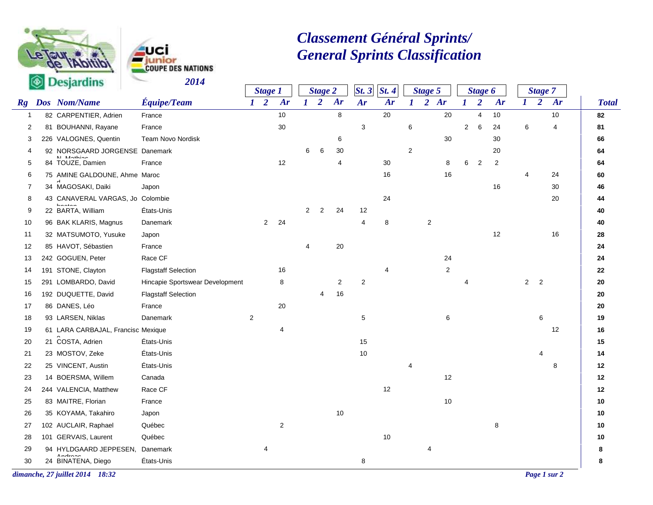



# *Classement Général Sprints/ General Sprints Classification*

|                                | $\heartsuit$ Desjaranns                      | 2017                            |              | <b>Stage 1</b> |             |                | <b>Stage 2</b> |                | St.3 | St.4           |                | <b>Stage 5</b> |            |                  | <b>Stage 6</b> |                |                | <b>Stage 7</b>           |              |              |
|--------------------------------|----------------------------------------------|---------------------------------|--------------|----------------|-------------|----------------|----------------|----------------|------|----------------|----------------|----------------|------------|------------------|----------------|----------------|----------------|--------------------------|--------------|--------------|
| $\boldsymbol{R}\boldsymbol{g}$ | Dos Nom/Name                                 | Équipe/Team                     |              | $1\quad 2$     | Ar          | $1\quad 2$     |                | Ar             | Ar   | Ar             | $\bm{l}$       |                | 2 Ar       | $\boldsymbol{I}$ | $\overline{2}$ | Ar             | $\bm{l}$       | $\overline{2}$           | Ar           | <b>Total</b> |
| $\mathbf{1}$                   | 82 CARPENTIER, Adrien                        | France                          |              |                | $10$        |                |                | 8              |      | 20             |                |                | 20         |                  | $\overline{4}$ | 10             |                |                          | 10           | 82           |
| 2                              | 81 BOUHANNI, Rayane                          | France                          |              |                | 30          |                |                |                | 3    |                | 6              |                |            | $\overline{2}$   | 6              | 24             | 6              |                          | 4            | 81           |
| 3                              | 226 VALOGNES, Quentin                        | Team Novo Nordisk               |              |                |             |                |                | 6              |      |                |                |                | 30         |                  |                | 30             |                |                          |              | 66           |
| 4                              | 92 NORSGAARD JORGENSE Danemark<br>NI Mathian |                                 |              |                |             | 6              | 6              | 30             |      |                | $\overline{2}$ |                |            |                  |                | 20             |                |                          |              | 64           |
| 5                              | 84 TOUZE, Damien                             | France                          |              |                | 12          |                |                | 4              |      | $30\,$         |                |                | 8          | 6                | $\overline{2}$ | $\overline{2}$ |                |                          |              | 64           |
| 6                              | 75 AMINE GALDOUNE, Ahme Maroc                |                                 |              |                |             |                |                |                |      | 16             |                |                | 16         |                  |                |                | 4              |                          | 24           | 60           |
| $\overline{7}$                 | 34 MAGOSAKI, Daiki                           | Japon                           |              |                |             |                |                |                |      |                |                |                |            |                  |                | 16             |                |                          | 30           | 46           |
| 8                              | 43 CANAVERAL VARGAS, Jo Colombie             |                                 |              |                |             |                |                |                |      | 24             |                |                |            |                  |                |                |                |                          | 20           | 44           |
| 9                              | 22 BARTA, William                            | États-Unis                      |              |                |             | $\overline{2}$ | $\overline{2}$ | 24             | 12   |                |                |                |            |                  |                |                |                |                          |              | 40           |
| 10                             | 96 BAK KLARIS, Magnus                        | Danemark                        |              | $\overline{2}$ | 24          |                |                |                | 4    | 8              |                | $\sqrt{2}$     |            |                  |                |                |                |                          |              | 40           |
| 11                             | 32 MATSUMOTO, Yusuke                         | Japon                           |              |                |             |                |                |                |      |                |                |                |            |                  |                | 12             |                |                          | 16           | 28           |
| 12                             | 85 HAVOT, Sébastien                          | France                          |              |                |             | $\overline{4}$ |                | 20             |      |                |                |                |            |                  |                |                |                |                          |              | 24           |
| 13                             | 242 GOGUEN, Peter                            | Race CF                         |              |                |             |                |                |                |      |                |                |                | 24         |                  |                |                |                |                          |              | 24           |
| 14                             | 191 STONE, Clayton                           | <b>Flagstaff Selection</b>      |              |                | 16          |                |                |                |      | $\overline{4}$ |                |                | $\sqrt{2}$ |                  |                |                |                |                          |              | 22           |
| 15                             | 291 LOMBARDO, David                          | Hincapie Sportswear Development |              |                | 8           |                |                | $\overline{2}$ | 2    |                |                |                |            |                  |                |                | $\overline{2}$ | $\overline{\phantom{a}}$ |              | 20           |
| 16                             | 192 DUQUETTE, David                          | <b>Flagstaff Selection</b>      |              |                |             |                | 4              | 16             |      |                |                |                |            |                  |                |                |                |                          |              | 20           |
| 17                             | 86 DANES, Léo                                | France                          |              |                | 20          |                |                |                |      |                |                |                |            |                  |                |                |                |                          |              | 20           |
| 18                             | 93 LARSEN, Niklas                            | <b>Danemark</b>                 | $\mathbf{2}$ |                |             |                |                |                | 5    |                |                |                | 6          |                  |                |                |                | 6                        |              | 19           |
| 19                             | 61 LARA CARBAJAL, Francisc Mexique           |                                 |              |                | 4           |                |                |                |      |                |                |                |            |                  |                |                |                |                          | 12           | 16           |
| 20                             | 21 COSTA, Adrien                             | États-Unis                      |              |                |             |                |                |                | 15   |                |                |                |            |                  |                |                |                |                          |              | 15           |
| 21                             | 23 MOSTOV, Zeke                              | États-Unis                      |              |                |             |                |                |                | 10   |                |                |                |            |                  |                |                |                | $\overline{4}$           |              | 14           |
| 22                             | 25 VINCENT, Austin                           | États-Unis                      |              |                |             |                |                |                |      |                | 4              |                |            |                  |                |                |                |                          | 8            | 12           |
| 23                             | 14 BOERSMA, Willem                           | Canada                          |              |                |             |                |                |                |      |                |                |                | 12         |                  |                |                |                |                          |              | 12           |
| 24                             | 244 VALENCIA, Matthew                        | Race CF                         |              |                |             |                |                |                |      | 12             |                |                |            |                  |                |                |                |                          |              | 12           |
| 25                             | 83 MAITRE, Florian                           | France                          |              |                |             |                |                |                |      |                |                |                | 10         |                  |                |                |                |                          |              | 10           |
| 26                             | 35 KOYAMA, Takahiro                          | Japon                           |              |                |             |                |                | 10             |      |                |                |                |            |                  |                |                |                |                          |              | 10           |
| 27                             | 102 AUCLAIR, Raphael                         | Québec                          |              |                | $\mathbf 2$ |                |                |                |      |                |                |                |            |                  |                | 8              |                |                          |              | 10           |
| 28                             | 101 GERVAIS, Laurent                         | Québec                          |              |                |             |                |                |                |      | 10             |                |                |            |                  |                |                |                |                          |              | 10           |
| 29                             | 94 HYLDGAARD JEPPESEN,                       | Danemark                        |              | 4              |             |                |                |                |      |                |                | 4              |            |                  |                |                |                |                          |              | 8            |
| 30                             | 24 BINATENA, Diego                           | États-Unis                      |              |                |             |                |                |                | 8    |                |                |                |            |                  |                |                |                |                          |              | 8            |
|                                | dimanche, 27 juillet 2014 18:32              |                                 |              |                |             |                |                |                |      |                |                |                |            |                  |                |                |                |                          | Page 1 sur 2 |              |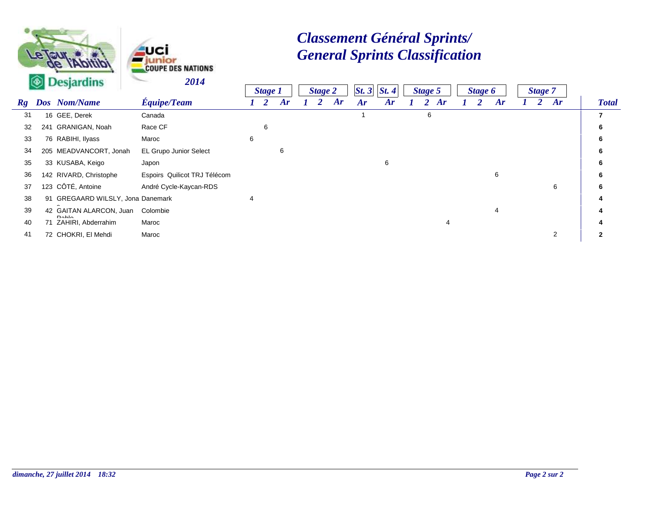



# *Classement Général Sprints/ General Sprints Classification*

|    | <b>Confidence Legislation</b> |                                           | <i>2014</i>                  |   |                |    |                |    |      |      |         |    |                |    |         |    |              |
|----|-------------------------------|-------------------------------------------|------------------------------|---|----------------|----|----------------|----|------|------|---------|----|----------------|----|---------|----|--------------|
|    |                               |                                           |                              |   | <b>Stage 1</b> |    | <b>Stage 2</b> |    | St.3 | St.4 | Stage 5 |    | <b>Stage 6</b> |    | Stage 7 |    |              |
| Rg |                               | Dos Nom/Name                              | <b>Équipe/Team</b>           |   |                | Ar |                | Ar | Ar   | Ar   |         | Ar |                | Ar |         | Ar | <b>Total</b> |
| 31 |                               | 16 GEE, Derek                             | Canada                       |   |                |    |                |    |      |      | 6       |    |                |    |         |    |              |
| 32 |                               | 241 GRANIGAN, Noah                        | Race CF                      |   | 6              |    |                |    |      |      |         |    |                |    |         |    |              |
| 33 |                               | 76 RABIHI, Ilyass                         | Maroc                        | 6 |                |    |                |    |      |      |         |    |                |    |         |    |              |
| 34 |                               | 205 MEADVANCORT, Jonah                    | EL Grupo Junior Select       |   |                | 6  |                |    |      |      |         |    |                |    |         |    |              |
| 35 |                               | 33 KUSABA, Keigo                          | Japon                        |   |                |    |                |    |      | 6    |         |    |                |    |         |    |              |
| 36 |                               | 142 RIVARD, Christophe                    | Espoirs Quilicot TRJ Télécom |   |                |    |                |    |      |      |         |    |                | 6  |         |    |              |
| 37 |                               | 123 CÔTÉ, Antoine                         | André Cycle-Kaycan-RDS       |   |                |    |                |    |      |      |         |    |                |    |         | 6  |              |
| 38 |                               | 91 GREGAARD WILSLY, Jona Danemark         |                              |   |                |    |                |    |      |      |         |    |                |    |         |    |              |
| 39 |                               | 42 GAITAN ALARCON, Juan<br>D <sub>0</sub> | Colombie                     |   |                |    |                |    |      |      |         |    |                | 4  |         |    |              |
| 40 |                               | 71 ZAHIRI, Abderrahim                     | Maroc                        |   |                |    |                |    |      |      |         |    |                |    |         |    |              |
| 41 |                               | 72 CHOKRI, El Mehdi                       | Maroc                        |   |                |    |                |    |      |      |         |    |                |    |         | 2  |              |
|    |                               |                                           |                              |   |                |    |                |    |      |      |         |    |                |    |         |    |              |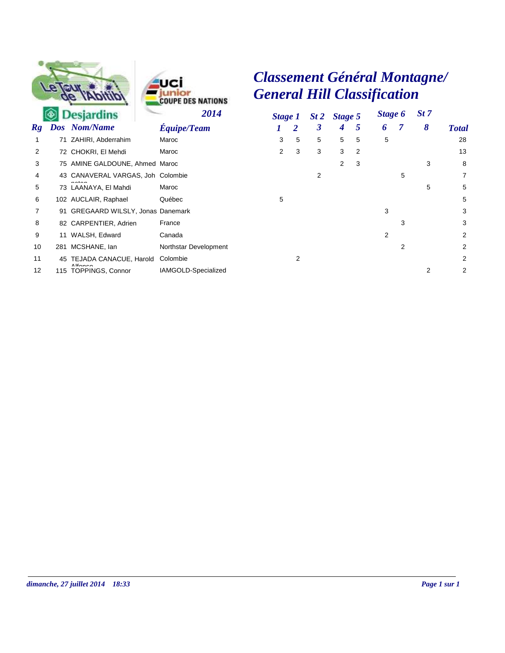



*Classement Général Montagne/ General Hill Classification*

|                   |     | <b>Desjardins</b>                                   | 2014                  |   | Stage 1 |   | St 2 Stage 5 |   | Stage 6 |                | St 7 |                |
|-------------------|-----|-----------------------------------------------------|-----------------------|---|---------|---|--------------|---|---------|----------------|------|----------------|
| Rg                |     | Dos Nom/Name                                        | <b>Equipe/Team</b>    |   | 2       | 3 | 4            | 5 | 6       |                | 8    | <b>Total</b>   |
|                   |     | 71 ZAHIRI, Abderrahim                               | Maroc                 | 3 | 5       | 5 | 5            | 5 | 5       |                |      | 28             |
| 2                 |     | 72 CHOKRI, El Mehdi                                 | Maroc                 | 2 | 3       | 3 | 3            | 2 |         |                |      | 13             |
| 3                 |     | 75 AMINE GALDOUNE, Ahmed Maroc                      |                       |   |         |   | 2            | 3 |         |                | 3    | 8              |
| 4                 |     | 43 CANAVERAL VARGAS, Joh Colombie                   |                       |   |         | 2 |              |   |         | 5              |      | $\overline{7}$ |
| 5                 |     | 73 LAANAYA, El Mahdi                                | Maroc                 |   |         |   |              |   |         |                | 5    | 5              |
| 6                 |     | 102 AUCLAIR, Raphael                                | Québec                | 5 |         |   |              |   |         |                |      | 5              |
|                   |     | 91 GREGAARD WILSLY, Jonas Danemark                  |                       |   |         |   |              |   | 3       |                |      | 3              |
| 8                 |     | 82 CARPENTIER, Adrien                               | France                |   |         |   |              |   |         | 3              |      | 3              |
| 9                 |     | 11 WALSH, Edward                                    | Canada                |   |         |   |              |   | 2       |                |      | $\overline{2}$ |
| 10                | 281 | MCSHANE, lan                                        | Northstar Development |   |         |   |              |   |         | $\overline{2}$ |      | $\overline{2}$ |
| 11                |     | 45 TEJADA CANACUE, Harold                           | Colombie              |   | 2       |   |              |   |         |                |      | $\overline{2}$ |
| $12 \overline{ }$ | 115 | $A$ <sup>14</sup> $\sim$<br><b>TOPPINGS, Connor</b> | IAMGOLD-Specialized   |   |         |   |              |   |         |                | 2    | $\overline{2}$ |
|                   |     |                                                     |                       |   |         |   |              |   |         |                |      |                |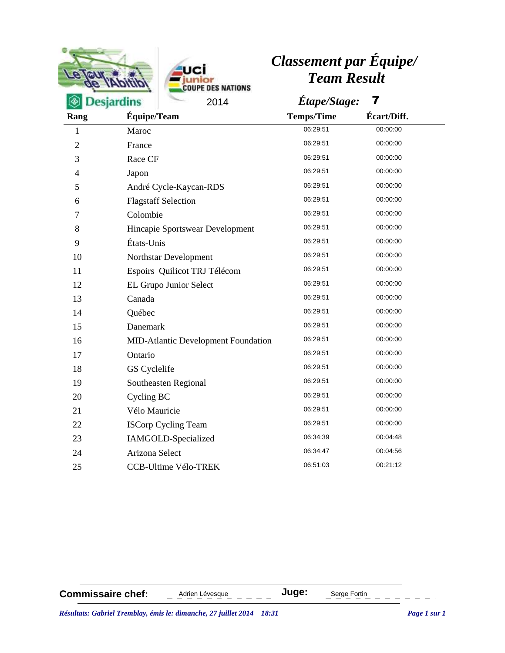|                |                                     | <b>Classement par Equipe/</b> |             |  |
|----------------|-------------------------------------|-------------------------------|-------------|--|
|                | <b>DES NATIONS</b>                  | <b>Team Result</b>            |             |  |
|                | <b>Desjardins</b><br>2014           | Étape/Stage:                  |             |  |
| Rang           | Équipe/Team                         | <b>Temps/Time</b>             | Écart/Diff. |  |
| 1              | Maroc                               | 06:29:51                      | 00:00:00    |  |
| $\overline{2}$ | France                              | 06:29:51                      | 00:00:00    |  |
| 3              | Race CF                             | 06:29:51                      | 00:00:00    |  |
| 4              | Japon                               | 06:29:51                      | 00:00:00    |  |
| 5              | André Cycle-Kaycan-RDS              | 06:29:51                      | 00:00:00    |  |
| 6              | <b>Flagstaff Selection</b>          | 06:29:51                      | 00:00:00    |  |
| 7              | Colombie                            | 06:29:51                      | 00:00:00    |  |
| 8              | Hincapie Sportswear Development     | 06:29:51                      | 00:00:00    |  |
| 9              | États-Unis                          | 06:29:51                      | 00:00:00    |  |
| 10             | Northstar Development               | 06:29:51                      | 00:00:00    |  |
| 11             | Espoirs Quilicot TRJ Télécom        | 06:29:51                      | 00:00:00    |  |
| 12             | EL Grupo Junior Select              | 06:29:51                      | 00:00:00    |  |
| 13             | Canada                              | 06:29:51                      | 00:00:00    |  |
| 14             | Québec                              | 06:29:51                      | 00:00:00    |  |
| 15             | Danemark                            | 06:29:51                      | 00:00:00    |  |
| 16             | MID-Atlantic Development Foundation | 06:29:51                      | 00:00:00    |  |
| 17             | Ontario                             | 06:29:51                      | 00:00:00    |  |
| 18             | GS Cyclelife                        | 06:29:51                      | 00:00:00    |  |
| 19             | Southeasten Regional                | 06:29:51                      | 00:00:00    |  |
| 20             | Cycling BC                          | 06:29:51                      | 00:00:00    |  |
| 21             | Vélo Mauricie                       | 06:29:51                      | 00:00:00    |  |
| 22             | <b>ISCorp Cycling Team</b>          | 06:29:51                      | 00:00:00    |  |
| 23             | IAMGOLD-Specialized                 | 06:34:39                      | 00:04:48    |  |
| 24             | Arizona Select                      | 06:34:47                      | 00:04:56    |  |
| 25             | <b>CCB-Ultime Vélo-TREK</b>         | 06:51:03                      | 00:21:12    |  |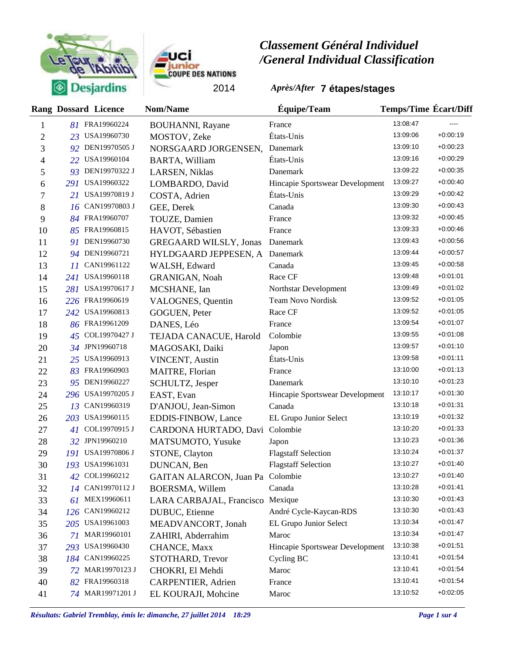



|                |     | <b>Rang Dossard Licence</b> | <b>Nom/Name</b>                  | <b>Equipe/Team</b>              | <b>Temps/Time Ecart/Diff</b> |            |
|----------------|-----|-----------------------------|----------------------------------|---------------------------------|------------------------------|------------|
| 1              |     | 81 FRA19960224              | <b>BOUHANNI</b> , Rayane         | France                          | 13:08:47                     | $---$      |
| $\overline{c}$ |     | 23 USA19960730              | MOSTOV, Zeke                     | États-Unis                      | 13:09:06                     | $+0.00:19$ |
| 3              |     | 92 DEN19970505 J            | NORSGAARD JORGENSEN,             | Danemark                        | 13:09:10                     | $+0.00:23$ |
| 4              |     | 22 USA19960104              | <b>BARTA, William</b>            | États-Unis                      | 13:09:16                     | $+0:00:29$ |
| 5              |     | 93 DEN19970322 J            | LARSEN, Niklas                   | Danemark                        | 13:09:22                     | $+0:00:35$ |
| 6              | 291 | USA19960322                 | LOMBARDO, David                  | Hincapie Sportswear Development | 13:09:27                     | $+0.00:40$ |
| 7              | 21  | <b>USA19970819 J</b>        | COSTA, Adrien                    | États-Unis                      | 13:09:29                     | $+0.00.42$ |
| 8              | 16  | CAN19970803 J               | GEE, Derek                       | Canada                          | 13:09:30                     | $+0.00:43$ |
| 9              |     | 84 FRA19960707              | TOUZE, Damien                    | France                          | 13:09:32                     | $+0:00:45$ |
| 10             |     | 85 FRA19960815              | HAVOT, Sébastien                 | France                          | 13:09:33                     | $+0.00:46$ |
| 11             | 91  | DEN19960730                 | <b>GREGAARD WILSLY, Jonas</b>    | Danemark                        | 13:09:43                     | $+0.00.56$ |
| 12             |     | 94 DEN19960721              | HYLDGAARD JEPPESEN, A            | Danemark                        | 13:09:44                     | $+0.00.57$ |
| 13             | 11  | CAN19961122                 | WALSH, Edward                    | Canada                          | 13:09:45                     | $+0.00.58$ |
| 14             | 241 | USA19960118                 | <b>GRANIGAN, Noah</b>            | Race CF                         | 13:09:48                     | $+0.01:01$ |
| 15             | 281 | USA19970617 J               | MCSHANE, Ian                     | Northstar Development           | 13:09:49                     | $+0.01:02$ |
| 16             |     | 226 FRA19960619             | VALOGNES, Quentin                | <b>Team Novo Nordisk</b>        | 13:09:52                     | $+0.01:05$ |
| 17             | 242 | USA19960813                 | GOGUEN, Peter                    | Race CF                         | 13:09:52                     | $+0.01:05$ |
| 18             |     | 86 FRA19961209              | DANES, Léo                       | France                          | 13:09:54                     | $+0.01:07$ |
| 19             | 45  | COL19970427 J               | TEJADA CANACUE, Harold           | Colombie                        | 13:09:55                     | $+0.01:08$ |
| 20             |     | 34 JPN19960718              | MAGOSAKI, Daiki                  | Japon                           | 13:09:57                     | $+0.01:10$ |
| 21             | 25  | USA19960913                 | <b>VINCENT, Austin</b>           | États-Unis                      | 13:09:58                     | $+0.01:11$ |
| 22             | 83  | FRA19960903                 | MAITRE, Florian                  | France                          | 13:10:00                     | $+0.01:13$ |
| 23             | 95  | DEN19960227                 | SCHULTZ, Jesper                  | Danemark                        | 13:10:10                     | $+0.01:23$ |
| 24             | 296 | USA19970205 J               | EAST, Evan                       | Hincapie Sportswear Development | 13:10:17                     | $+0.01:30$ |
| 25             | 13  | CAN19960319                 | D'ANJOU, Jean-Simon              | Canada                          | 13:10:18                     | $+0.01:31$ |
| 26             | 203 | USA19960115                 | EDDIS-FINBOW, Lance              | EL Grupo Junior Select          | 13:10:19                     | $+0.01:32$ |
| 27             | 41  | COL19970915 J               | CARDONA HURTADO, Davi            | Colombie                        | 13:10:20                     | $+0.01:33$ |
| 28             |     | 32 JPN19960210              | MATSUMOTO, Yusuke                | Japon                           | 13:10:23                     | $+0.01:36$ |
| 29             | 191 | USA19970806 J               | STONE, Clayton                   | <b>Flagstaff Selection</b>      | 13:10:24                     | $+0.01:37$ |
| 30             |     | 193 USA19961031             | DUNCAN, Ben                      | <b>Flagstaff Selection</b>      | 13:10:27                     | $+0.01:40$ |
| 31             | 42  | COL19960212                 | GAITAN ALARCON, Juan Pa Colombie |                                 | 13:10:27                     | +0:01:40   |
| 32             |     | 14 CAN19970112 J            | BOERSMA, Willem                  | Canada                          | 13:10:28                     | $+0.01:41$ |
| 33             | 61  | MEX19960611                 | LARA CARBAJAL, Francisco Mexique |                                 | 13:10:30                     | $+0.01:43$ |
| 34             | 126 | CAN19960212                 | DUBUC, Etienne                   | André Cycle-Kaycan-RDS          | 13:10:30                     | $+0.01:43$ |
| 35             |     | 205 USA19961003             | MEADVANCORT, Jonah               | EL Grupo Junior Select          | 13:10:34                     | $+0.01:47$ |
| 36             | 71  | MAR19960101                 | ZAHIRI, Abderrahim               | Maroc                           | 13:10:34                     | $+0.01:47$ |
| 37             |     | 293 USA19960430             | CHANCE, Maxx                     | Hincapie Sportswear Development | 13:10:38                     | $+0:01:51$ |
| 38             |     | 184 CAN19960225             | STOTHARD, Trevor                 | Cycling BC                      | 13:10:41                     | $+0.01:54$ |
| 39             |     | 72 MAR19970123 J            | CHOKRI, El Mehdi                 | Maroc                           | 13:10:41                     | $+0.01:54$ |
| 40             |     | 82 FRA19960318              | <b>CARPENTIER, Adrien</b>        | France                          | 13:10:41                     | $+0.01:54$ |
| 41             |     | 74 MAR19971201 J            | EL KOURAJI, Mohcine              | Maroc                           | 13:10:52                     | $+0.02:05$ |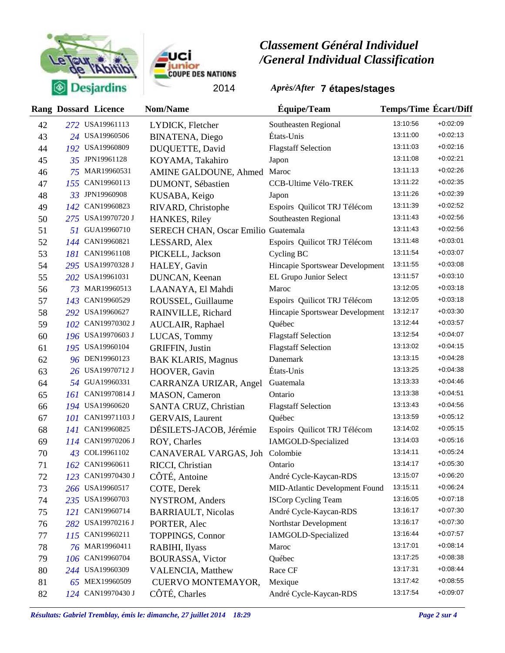



|    |            | <b>Rang Dossard Licence</b> | Nom/Name                            | Équipe/Team                           | <b>Temps/Time Ecart/Diff</b> |            |
|----|------------|-----------------------------|-------------------------------------|---------------------------------------|------------------------------|------------|
| 42 |            | 272 USA19961113             | LYDICK, Fletcher                    | Southeasten Regional                  | 13:10:56                     | $+0.02:09$ |
| 43 |            | 24 USA19960506              | <b>BINATENA</b> , Diego             | États-Unis                            | 13:11:00                     | $+0.02:13$ |
| 44 |            | 192 USA19960809             | DUQUETTE, David                     | <b>Flagstaff Selection</b>            | 13:11:03                     | $+0.02:16$ |
| 45 | 35         | JPN19961128                 | KOYAMA, Takahiro                    | Japon                                 | 13:11:08                     | $+0.02:21$ |
| 46 | 75         | MAR19960531                 | AMINE GALDOUNE, Ahmed               | Maroc                                 | 13:11:13                     | $+0.02:26$ |
| 47 | 155        | CAN19960113                 | DUMONT, Sébastien                   | CCB-Ultime Vélo-TREK                  | 13:11:22                     | $+0.02:35$ |
| 48 | 33         | JPN19960908                 | KUSABA, Keigo                       | Japon                                 | 13:11:26                     | $+0.02:39$ |
| 49 | 142        | CAN19960823                 | RIVARD, Christophe                  | Espoirs Quilicot TRJ Télécom          | 13:11:39                     | $+0.02:52$ |
| 50 |            | 275 USA19970720 J           | HANKES, Riley                       | Southeasten Regional                  | 13:11:43                     | $+0.02:56$ |
| 51 | 51.        | GUA19960710                 | SERECH CHAN, Oscar Emilio Guatemala |                                       | 13:11:43                     | $+0.02:56$ |
| 52 |            | 144 CAN19960821             | LESSARD, Alex                       | Espoirs Quilicot TRJ Télécom          | 13:11:48                     | $+0.03.01$ |
| 53 |            | 181 CAN19961108             | PICKELL, Jackson                    | Cycling BC                            | 13:11:54                     | $+0.03:07$ |
| 54 |            | 295 USA19970328 J           | HALEY, Gavin                        | Hincapie Sportswear Development       | 13:11:55                     | $+0.03.08$ |
| 55 |            | 202 USA19961031             | DUNCAN, Keenan                      | EL Grupo Junior Select                | 13:11:57                     | $+0.03:10$ |
| 56 | 73         | MAR19960513                 | LAANAYA, El Mahdi                   | Maroc                                 | 13:12:05                     | $+0.03:18$ |
| 57 | 143        | CAN19960529                 | ROUSSEL, Guillaume                  | Espoirs Quilicot TRJ Télécom          | 13:12:05                     | $+0.03:18$ |
| 58 |            | 292 USA19960627             | RAINVILLE, Richard                  | Hincapie Sportswear Development       | 13:12:17                     | $+0.03.30$ |
| 59 | 102        | CAN19970302 J               | AUCLAIR, Raphael                    | Québec                                | 13:12:44                     | $+0.03.57$ |
| 60 |            | 196 USA19970603 J           | LUCAS, Tommy                        | <b>Flagstaff Selection</b>            | 13:12:54                     | $+0.04:07$ |
| 61 |            | 195 USA19960104             | <b>GRIFFIN, Justin</b>              | <b>Flagstaff Selection</b>            | 13:13:02                     | $+0.04:15$ |
| 62 |            | 96 DEN19960123              | <b>BAK KLARIS, Magnus</b>           | Danemark                              | 13:13:15                     | $+0.04:28$ |
| 63 |            | 26 USA19970712 J            | HOOVER, Gavin                       | États-Unis                            | 13:13:25                     | $+0.04.38$ |
| 64 |            | 54 GUA19960331              | CARRANZA URIZAR, Angel              | Guatemala                             | 13:13:33                     | $+0.04:46$ |
| 65 | 161        | CAN19970814 J               | MASON, Cameron                      | Ontario                               | 13:13:38                     | $+0.04:51$ |
| 66 |            | 194 USA19960620             | SANTA CRUZ, Christian               | <b>Flagstaff Selection</b>            | 13:13:43                     | $+0.04.56$ |
| 67 | 101        | CAN19971103 J               | GERVAIS, Laurent                    | Québec                                | 13:13:59                     | $+0.05:12$ |
| 68 | 14 I       | CAN19960825                 | DÉSILETS-JACOB, Jérémie             | Espoirs Quilicot TRJ Télécom          | 13:14:02                     | $+0.05:15$ |
| 69 | 114        | CAN19970206 J               | ROY, Charles                        | IAMGOLD-Specialized                   | 13:14:03                     | $+0.05:16$ |
| 70 | 43         | COL19961102                 | CANAVERAL VARGAS, Joh               | Colombie                              | 13:14:11                     | $+0.05:24$ |
| 71 |            | 162 CAN19960611             | RICCI, Christian                    | Ontario                               | 13:14:17                     | $+0.05.30$ |
| 72 |            | 123 CAN19970430 J           | COTE, Antoine                       | André Cycle-Kaycan-RDS                | 13:15:07                     | $+0.06:20$ |
| 73 |            | 266 USA19960517             | COTE, Derek                         | <b>MID-Atlantic Development Found</b> | 13:15:11                     | $+0.06:24$ |
| 74 |            | 235 USA19960703             | NYSTROM, Anders                     | <b>ISCorp Cycling Team</b>            | 13:16:05                     | $+0.07:18$ |
| 75 | <i>121</i> | CAN19960714                 | <b>BARRIAULT, Nicolas</b>           | André Cycle-Kaycan-RDS                | 13:16:17                     | $+0.07:30$ |
| 76 | 282        | USA19970216 J               | PORTER, Alec                        | Northstar Development                 | 13:16:17                     | $+0.07:30$ |
| 77 | 115        | CAN19960211                 | <b>TOPPINGS, Connor</b>             | IAMGOLD-Specialized                   | 13:16:44                     | $+0.07:57$ |
| 78 |            | 76 MAR19960411              | RABIHI, Ilyass                      | Maroc                                 | 13:17:01                     | $+0.08:14$ |
| 79 | 106        | CAN19960704                 | <b>BOURASSA, Victor</b>             | Québec                                | 13:17:25                     | $+0.08.38$ |
| 80 |            | 244 USA19960309             | VALENCIA, Matthew                   | Race CF                               | 13:17:31                     | $+0.08:44$ |
| 81 |            | 65 MEX19960509              | CUERVO MONTEMAYOR,                  | Mexique                               | 13:17:42                     | $+0.08.55$ |
| 82 |            | 124 CAN19970430 J           | CÔTÉ, Charles                       | André Cycle-Kaycan-RDS                | 13:17:54                     | $+0.09.07$ |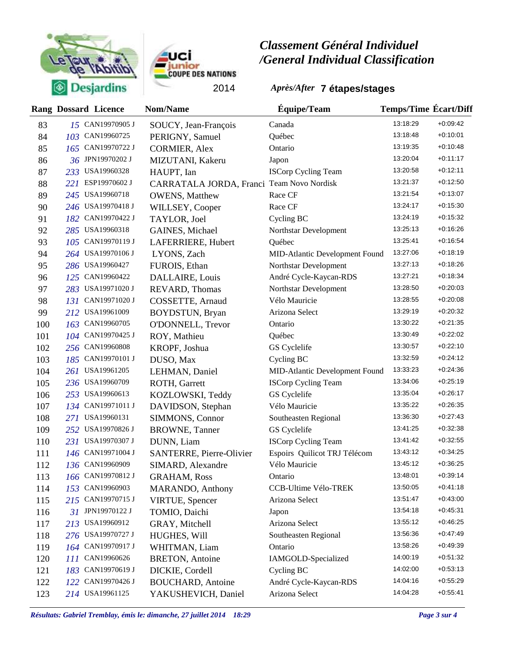



|     | <b>Rang Dossard Licence</b>        | <b>Nom/Name</b>                           | Équipe/Team                    | <b>Temps/Time Ecart/Diff</b> |            |
|-----|------------------------------------|-------------------------------------------|--------------------------------|------------------------------|------------|
| 83  | 15 CAN19970905 J                   | SOUCY, Jean-François                      | Canada                         | 13:18:29                     | $+0.09:42$ |
| 84  | 103 CAN19960725                    | PERIGNY, Samuel                           | Québec                         | 13:18:48                     | $+0:10:01$ |
| 85  | CAN19970722 J<br>165               | <b>CORMIER, Alex</b>                      | Ontario                        | 13:19:35                     | $+0.10.48$ |
| 86  | JPN19970202 J<br>36                | MIZUTANI, Kakeru                          | Japon                          | 13:20:04                     | $+0:11:17$ |
| 87  | 233 USA19960328                    | HAUPT, Ian                                | <b>ISCorp Cycling Team</b>     | 13:20:58                     | $+0:12:11$ |
| 88  | ESP19970602 J<br>221               | CARRATALA JORDA, Franci Team Novo Nordisk |                                | 13:21:37                     | $+0:12:50$ |
| 89  | USA19960718<br>245                 | <b>OWENS</b> , Matthew                    | Race CF                        | 13:21:54                     | $+0.13:07$ |
| 90  | 246 USA19970418 J                  | WILLSEY, Cooper                           | Race CF                        | 13:24:17                     | $+0:15:30$ |
| 91  | CAN19970422 J<br>182               | TAYLOR, Joel                              | Cycling BC                     | 13:24:19                     | $+0.15.32$ |
| 92  | 285 USA19960318                    | GAINES, Michael                           | Northstar Development          | 13:25:13                     | $+0.16.26$ |
| 93  | CAN19970119 J<br>105               | LAFERRIERE, Hubert                        | Québec                         | 13:25:41                     | $+0.16.54$ |
| 94  | 264 USA19970106 J                  | LYONS, Zach                               | MID-Atlantic Development Found | 13:27:06                     | $+0:18:19$ |
| 95  | 286 USA19960427                    | FUROIS, Ethan                             | Northstar Development          | 13:27:13                     | $+0.18.26$ |
| 96  | 125 CAN19960422                    | DALLAIRE, Louis                           | André Cycle-Kaycan-RDS         | 13:27:21                     | $+0.18.34$ |
| 97  | USA19971020 J<br>283               | REVARD, Thomas                            | Northstar Development          | 13:28:50                     | $+0.20:03$ |
| 98  | CAN19971020 J<br>131 <sup>-1</sup> | COSSETTE, Arnaud                          | Vélo Mauricie                  | 13:28:55                     | $+0.20.08$ |
| 99  | USA19961009<br>212                 | BOYDSTUN, Bryan                           | Arizona Select                 | 13:29:19                     | $+0.20.32$ |
| 100 | CAN19960705<br>163                 | O'DONNELL, Trevor                         | Ontario                        | 13:30:22                     | $+0.21:35$ |
| 101 | 104 CAN19970425 J                  | ROY, Mathieu                              | Québec                         | 13:30:49                     | $+0.22:02$ |
| 102 | 256 CAN19960808                    | KROPF, Joshua                             | GS Cyclelife                   | 13:30:57                     | $+0.22:10$ |
| 103 | 185 CAN19970101 J                  | DUSO, Max                                 | Cycling BC                     | 13:32:59                     | $+0.24:12$ |
| 104 | 261 USA19961205                    | LEHMAN, Daniel                            | MID-Atlantic Development Found | 13:33:23                     | $+0.24.36$ |
| 105 | 236 USA19960709                    | ROTH, Garrett                             | <b>ISCorp Cycling Team</b>     | 13:34:06                     | $+0.25:19$ |
| 106 | 253 USA19960613                    | KOZLOWSKI, Teddy                          | GS Cyclelife                   | 13:35:04                     | $+0.26:17$ |
| 107 | 134 CAN19971011 J                  | DAVIDSON, Stephan                         | Vélo Mauricie                  | 13:35:22                     | $+0.26.35$ |
| 108 | USA19960131<br>271                 | SIMMONS, Connor                           | Southeasten Regional           | 13:36:30                     | $+0.27:43$ |
| 109 | 252 USA19970826 J                  | <b>BROWNE, Tanner</b>                     | GS Cyclelife                   | 13:41:25                     | $+0.32.38$ |
| 110 | USA19970307 J<br>231               | DUNN, Liam                                | <b>ISCorp Cycling Team</b>     | 13:41:42                     | $+0.32:55$ |
| 111 | 146 CAN19971004 J                  | SANTERRE, Pierre-Olivier                  | Espoirs Quilicot TRJ Télécom   | 13:43:12                     | $+0.34.25$ |
| 112 | 136 CAN19960909                    | SIMARD, Alexandre                         | Vélo Mauricie                  | 13:45:12                     | $+0.36:25$ |
| 113 | 166 CAN19970812 J                  | <b>GRAHAM, Ross</b>                       | Ontario                        | 13:48:01                     | $+0.39:14$ |
| 114 | 153 CAN19960903                    | <b>MARANDO</b> , Anthony                  | CCB-Ultime Vélo-TREK           | 13:50:05                     | $+0:41:18$ |
| 115 | 215 CAN19970715 J                  | <b>VIRTUE, Spencer</b>                    | Arizona Select                 | 13:51:47                     | $+0.43:00$ |
| 116 | 31 JPN19970122 J                   | TOMIO, Daichi                             | Japon                          | 13:54:18                     | $+0:45:31$ |
| 117 | 213 USA19960912                    | GRAY, Mitchell                            | Arizona Select                 | 13:55:12                     | $+0.46.25$ |
| 118 | 276 USA19970727 J                  | HUGHES, Will                              | Southeasten Regional           | 13:56:36                     | $+0.47.49$ |
| 119 | 164 CAN19970917 J                  | WHITMAN, Liam                             | Ontario                        | 13:58:26                     | $+0.49.39$ |
| 120 | 111 CAN19960626                    | <b>BRETON, Antoine</b>                    | IAMGOLD-Specialized            | 14:00:19                     | $+0.51.32$ |
| 121 | 183 CAN19970619 J                  | DICKIE, Cordell                           | Cycling BC                     | 14:02:00                     | $+0.53.13$ |
| 122 | CAN19970426 J<br>122               | <b>BOUCHARD</b> , Antoine                 | André Cycle-Kaycan-RDS         | 14:04:16                     | $+0.55:29$ |
| 123 | 214 USA19961125                    | YAKUSHEVICH, Daniel                       | Arizona Select                 | 14:04:28                     | $+0.55:41$ |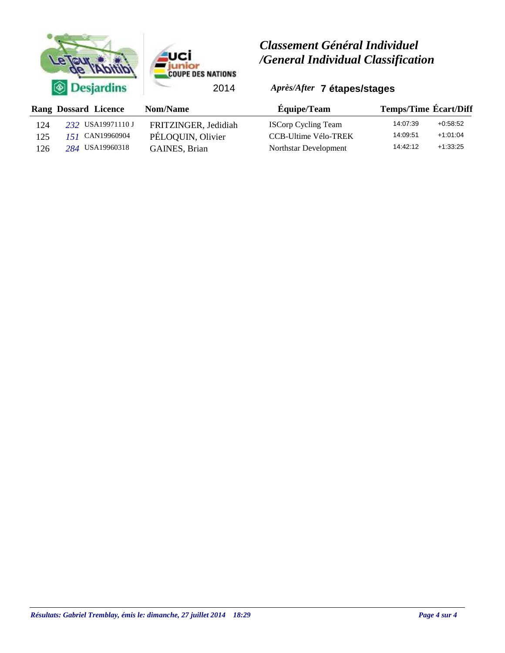



|     | <b>Rang Dossard Licence</b> | Nom/Name             | <b>Équipe/Team</b>         | <b>Temps/Time Écart/Diff</b> |
|-----|-----------------------------|----------------------|----------------------------|------------------------------|
| 124 | 232 USA19971110 J           | FRITZINGER, Jedidiah | <b>ISCorp Cycling Team</b> | 14:07:39<br>$+0.58.52$       |
| 125 | 151 CAN19960904             | PÉLOQUIN, Olivier    | CCB-Ultime Vélo-TREK       | $+1:01:04$<br>14:09:51       |
| 126 | 284 USA19960318             | GAINES, Brian        | Northstar Development      | 14:42:12<br>$+1:33:25$       |